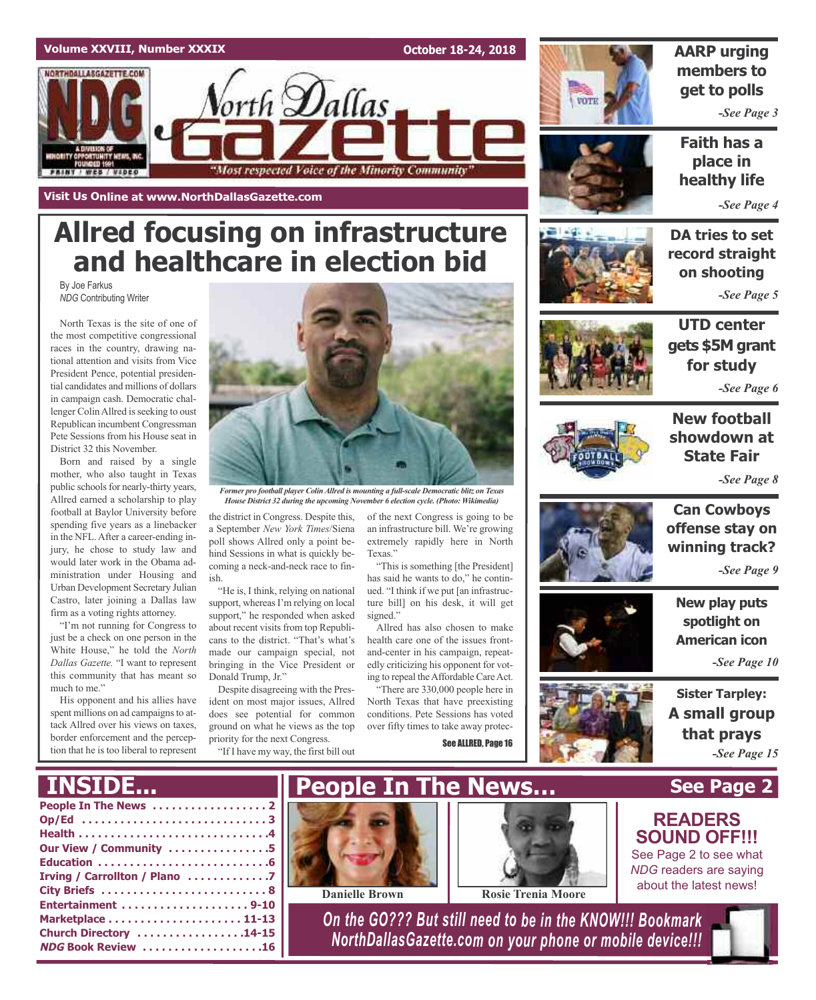### **Volume XXVIII, Number XXXIX**

NORTHDALLASGAZETTE.COM

By Joe Farkus

*NDG* Contributing Writer

District 32 this November.

Born and raised by a single mother, who also taught in Texas public schools for nearly-thirty years, Allred earned a scholarship to play football at Baylor University before spending five years as a linebacker in the NFL. After a career-ending injury, he chose to study law and would later work in the Obama administration under Housing and Urban Development Secretary Julian Castro, later joining a Dallas law firm as a voting rights attorney. "I'm not running for Congress to just be a check on one person in the White House," he told the *North Dallas Gazette.* "I want to represent this community that has meant so

His opponent and his allies have spent millions on ad campaigns to attack Allred over his views on taxes, border enforcement and the perception that he is too liberal to represent

North Texas is the site of one of the most competitive congressional races in the country, drawing national attention and visits from Vice President Pence, potential presidential candidates and millions of dollars in campaign cash. Democratic challenger Colin Allred is seeking to oust Republican incumbent Congressman Pete Sessions from his House seat in

**Visit Us Online at www.NorthDallasGazette.com**

**October 18-24, 2018**



## **AARP urging members to get to polls**

*-See Page 3*

**Faith has a place in healthy life**

*-See Page 4*

## **DA tries to set record straight on shooting**

*-See Page 5*

**UTD center gets \$5M grant for study** *-See Page 6*

## **New football showdown at State Fair**

*-See Page 8*



**offense stay on winning track?**

> **New play puts spotlight on American icon**

*-See Page 10*

**Sister Tarpley: A small group that prays**

**See Page 2**

**READERS SOUND OFF!!!** See Page 2 to see what *NDG* readers are saying about the latest news!



*Former pro football player ColinAllred is mounting a full-scale Democratic blitz on Texas House District 32 during the upcoming November 6 election cycle. (Photo: Wikimedia)*

the district in Congress. Despite this, a September *New York Times*/Siena poll shows Allred only a point behind Sessions in what is quickly becoming a neck-and-neck race to finish.

**Allred focusing on infrastructure**

orth **D**allas

"Most respected Voice of the Minority Community

**and healthcare in election bid**

"He is, I think, relying on national support, whereas I'm relying on local support," he responded when asked about recent visits from top Republicans to the district. "That's what's made our campaign special, not bringing in the Vice President or Donald Trump, Jr."

Despite disagreeing with the President on most major issues, Allred does see potential for common ground on what he views as the top priority for the next Congress. "If I have my way, the first bill out

of the next Congress is going to be an infrastructure bill. We're growing extremely rapidly here in North Texas."

"This is something [the President] has said he wants to do," he continued. "I think if we put [an infrastructure bill] on his desk, it will get signed."

Allred has also chosen to make health care one of the issues frontand-center in his campaign, repeatedly criticizing his opponent for voting to repeal the Affordable Care Act.

"There are 330,000 people here in North Texas that have preexisting conditions. Pete Sessions has voted over fifty times to take away protec-

See ALLRED, Page 16





## **INSIDE...**

much to me."





**Danielle Brown Rosie Trenia Moore** 

*On the GO??? But still need to be in the KNOW!!! Bookmark NorthDallasGazette.com on your phone or mobile device!!!*



**Can Cowboys**

*-See Page 9*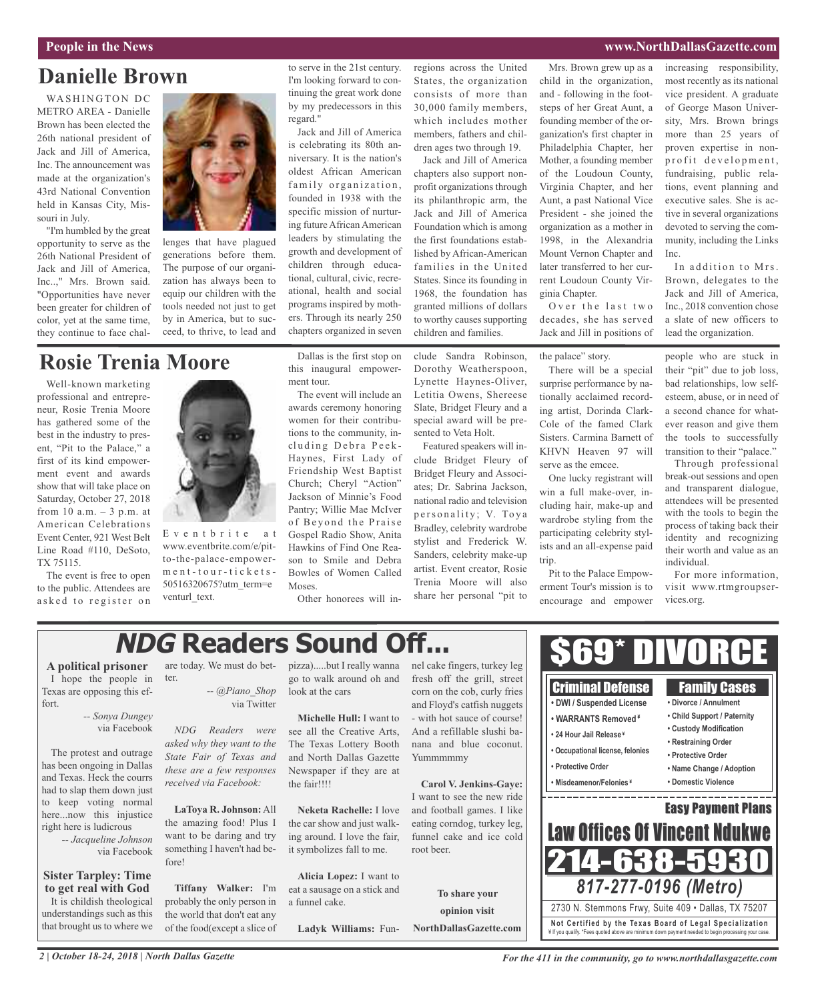### **People in the News www.NorthDallasGazette.com**

## **Danielle Brown**

WA SHINGTON DC METRO AREA - Danielle Brown has been elected the 26th national president of Jack and Jill of America, Inc. The announcement was made at the organization's 43rd National Convention held in Kansas City, Missouri in July.

"I'm humbled by the great opportunity to serve as the 26th National President of Jack and Jill of America, Inc..," Mrs. Brown said. "Opportunities have never been greater for children of color, yet at the same time, they continue to face chal-



lenges that have plagued generations before them. The purpose of our organization has always been to equip our children with the tools needed not just to get by in America, but to succeed, to thrive, to lead and

## **Rosie Trenia Moore**

Well-known marketing professional and entrepreneur, Rosie Trenia Moore has gathered some of the best in the industry to present, "Pit to the Palace," a first of its kind empowerment event and awards show that will take place on Saturday, October 27, 2018 from 10 a.m. – 3 p.m. at American Celebrations Event Center, 921 West Belt Line Road #110, DeSoto, TX 75115.

The event is free to open to the public. Attendees are asked to register on



E v e n t b r i t e a t www.eventbrite.com/e/pitto-the-palace-empowerm e n t - t o u r - t i c k e t s - 50516320675?utm\_term=e venturl\_text.

Dallas is the first stop on this inaugural empowerment tour.

to serve in the 21st century. I'm looking forward to continuing the great work done by my predecessors in this

Jack and Jill of America is celebrating its 80th anniversary. It is the nation's oldest African American family organization, founded in 1938 with the specific mission of nurturing future African American leaders by stimulating the growth and development of children through educational, cultural, civic, recreational, health and social programs inspired by mothers. Through its nearly 250 chapters organized in seven

regard."

The event will include an awards ceremony honoring women for their contributions to the community, including Debra Peek-Haynes, First Lady of Friendship West Baptist Church; Cheryl "Action" Jackson of Minnie's Food Pantry; Willie Mae McIver of Beyond the Praise Gospel Radio Show, Anita Hawkins of Find One Reason to Smile and Debra Bowles of Women Called Moses.

Other honorees will in-

regions across the United States, the organization consists of more than 30,000 family members, which includes mother members, fathers and children ages two through 19.

Jack and Jill of America chapters also support nonprofit organizations through its philanthropic arm, the Jack and Jill of America Foundation which is among the first foundations established by African-American families in the United States. Since its founding in 1968, the foundation has granted millions of dollars to worthy causes supporting children and families.

clude Sandra Robinson, Dorothy Weatherspoon, Lynette Haynes-Oliver, Letitia Owens, Shereese Slate, Bridget Fleury and a special award will be presented to Veta Holt.

Featured speakers will include Bridget Fleury of Bridget Fleury and Associates; Dr. Sabrina Jackson, national radio and television personality; V. Toya Bradley, celebrity wardrobe stylist and Frederick W. Sanders, celebrity make-up artist. Event creator, Rosie Trenia Moore will also share her personal "pit to

Mrs. Brown grew up as a child in the organization, and - following in the footsteps of her Great Aunt, a founding member of the organization's first chapter in Philadelphia Chapter, her Mother, a founding member of the Loudoun County, Virginia Chapter, and her Aunt, a past National Vice President - she joined the organization as a mother in 1998, in the Alexandria Mount Vernon Chapter and later transferred to her current Loudoun County Virginia Chapter.

Over the last two decades, she has served Jack and Jill in positions of

the palace" story.

There will be a special surprise performance by nationally acclaimed recording artist, Dorinda Clark-Cole of the famed Clark Sisters. Carmina Barnett of KHVN Heaven 97 will serve as the emcee.

One lucky registrant will win a full make-over, including hair, make-up and wardrobe styling from the participating celebrity stylists and an all-expense paid trip.

Pit to the Palace Empowerment Tour's mission is to encourage and empower

> Criminal Defense **• DWI / Suspended License • WARRANTS Removed ¥ • 24 Hour Jail Release ¥ • Occupational license, felonies**

\$69\* DIVORCE

increasing responsibility, most recently as its national vice president. A graduate of George Mason University, Mrs. Brown brings more than 25 years of proven expertise in nonprofit development, fundraising, public relations, event planning and executive sales. She is active in several organizations devoted to serving the community, including the Links Inc.

In addition to Mrs. Brown, delegates to the Jack and Jill of America, Inc., 2018 convention chose a slate of new officers to lead the organization.

people who are stuck in their "pit" due to job loss, bad relationships, low selfesteem, abuse, or in need of a second chance for whatever reason and give them the tools to successfully transition to their "palace."

Through professional break-out sessions and open and transparent dialogue, attendees will be presented with the tools to begin the process of taking back their identity and recognizing their worth and value as an individual.

For more information, visit www.rtmgroupservices.org.

Family Cases **• Divorce / Annulment • Child Support / Paternity • Custody Modification • Restraining Order • Protective Order • Name Change / Adoption • Domestic Violence**

Easy Payment Plans

## **NDG Readers Sound Off...**

**A political prisoner** I hope the people in Texas are opposing this effort.

> *-- Sonya Dungey* via Facebook

The protest and outrage has been ongoing in Dallas and Texas. Heck the courrs had to slap them down just to keep voting normal here...now this injustice right here is ludicrous *-- Jacqueline Johnson*

via Facebook

**Sister Tarpley: Time to get real with God** It is childish theological understandings such as this that brought us to where we

are today. We must do better. *-- @Piano\_Shop*

via Twitter

*NDG Readers were asked why they want to the State Fair of Texas and these are a few responses received via Facebook:*

**LaToya R. Johnson:** All the amazing food! Plus I want to be daring and try something I haven't had before!

**Tiffany Walker:** I'm probably the only person in the world that don't eat any of the food(except a slice of

pizza).....but I really wanna nel cake fingers, turkey leg go to walk around oh and look at the cars

**Michelle Hull:** I want to see all the Creative Arts, The Texas Lottery Booth and North Dallas Gazette Newspaper if they are at the fair!!!!

**Neketa Rachelle:** I love the car show and just walking around. I love the fair, it symbolizes fall to me.

**Alicia Lopez:** I want to eat a sausage on a stick and a funnel cake.

**Ladyk Williams:** Fun-

fresh off the grill, street corn on the cob, curly fries and Floyd's catfish nuggets - with hot sauce of course! And a refillable slushi banana and blue coconut. Yummmmmy

### **Carol V. Jenkins-Gaye:** I want to see the new ride and football games. I like eating corndog, turkey leg, funnel cake and ice cold root beer.

**To share your opinion visit NorthDallasGazette.com**

**• Protective Order • Misdeamenor/Felonies ¥**

*For the 411 in the community, go to www.northdallasgazette.com*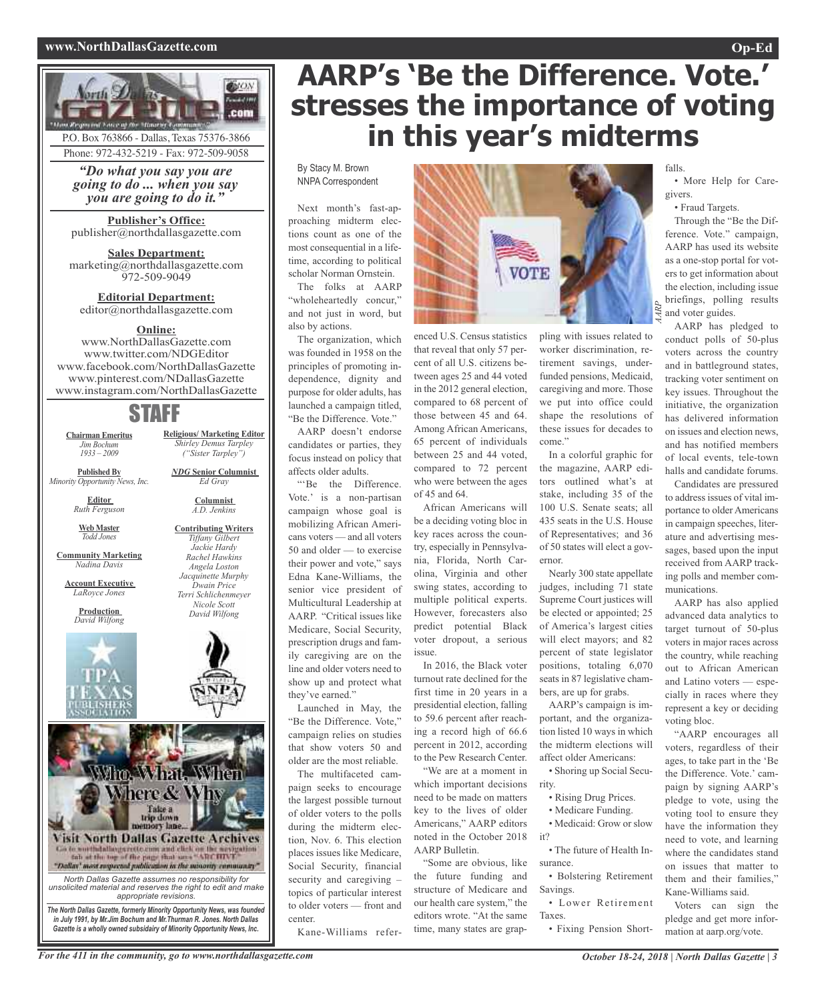### **www.NorthDallasGazette.com Op-Ed**



P.O. Box 763866 - Dallas, Texas 75376-3866

*"Do what you say you are going to do ... when you say you are going to do it."*

**Publisher's Office:** publisher@northdallasgazette.com

**Sales Department:** marketing@northdallasgazette.com 972-509-9049

**Editorial Department:** editor@northdallasgazette.com

### **Online:**

www.NorthDallasGazette.com www.twitter.com/NDGEditor www.facebook.com/NorthDallasGazette www.pinterest.com/NDallasGazette www.instagram.com/NorthDallasGazette

## STAFF

**Chairman Emeritus** *Jim Bochum 1933 – 2009*

**Published By** *Minority Opportunity News, Inc.*

> **Editor** *Ruth Ferguson*

**Columnist** *A.D. Jenkins*

**Religious/ Marketing Editor** *Shirley Demus Tarpley ("Sister Tarpley") NDG* **Senior Columnist** *Ed Gray*

> **Contributing Writers** *Tiffany Gilbert Jackie Hardy Rachel Hawkins Angela Loston Jacquinette Murphy Dwain Price Terri Schlichenmeyer Nicole Scott David Wilfong*

### **Web Master** *Todd Jones*

**Community Marketing** *Nadina Davis*

**Account Executive** *LaRoyce Jones*

> **Production** *David Wilfong*





*in July 1991, by Mr.Jim Bochum and Mr.Thurman R. Jones. North Dallas Gazette is a wholly owned subsidairy of Minority Opportunity News, Inc.*

## Phone: 972-432-5219 - Fax: 972-509-9058

Next month's fast-approaching midterm elections count as one of the most consequential in a lifetime, according to political scholar Norman Ornstein.

By Stacy M. Brown NNPA Correspondent

The folks at AARP "wholeheartedly concur," and not just in word, but also by actions.

The organization, which was founded in 1958 on the principles of promoting independence, dignity and purpose for older adults, has launched a campaign titled, "Be the Difference. Vote."

AARP doesn't endorse candidates or parties, they focus instead on policy that affects older adults.

"'Be the Difference. Vote.' is a non-partisan campaign whose goal is mobilizing African Americans voters — and all voters 50 and older — to exercise their power and vote," says Edna Kane-Williams, the senior vice president of Multicultural Leadership at AARP. "Critical issues like Medicare, Social Security, prescription drugs and family caregiving are on the line and older voters need to show up and protect what they've earned."

Launched in May, the "Be the Difference. Vote," campaign relies on studies that show voters 50 and older are the most reliable.

The multifaceted campaign seeks to encourage the largest possible turnout of older voters to the polls during the midterm election, Nov. 6. This election places issues like Medicare, Social Security, financial security and caregiving – topics of particular interest to older voters — front and center.

Kane-Williams refer-



**AARP's 'Be the Difference. Vote. '**

**stresses the importance of voting**

**in this year's midterms**

enced U.S. Census statistics that reveal that only 57 percent of all U.S. citizens between ages 25 and 44 voted in the 2012 general election, compared to 68 percent of those between 45 and 64. Among African Americans, 65 percent of individuals between 25 and 44 voted, compared to 72 percent who were between the ages of 45 and 64.

African Americans will be a deciding voting bloc in key races across the country, especially in Pennsylvania, Florida, North Carolina, Virginia and other swing states, according to multiple political experts. However, forecasters also predict potential Black voter dropout, a serious issue.

In 2016, the Black voter turnout rate declined for the first time in 20 years in a presidential election, falling to 59.6 percent after reaching a record high of 66.6 percent in 2012, according to the Pew Research Center.

"We are at a moment in which important decisions need to be made on matters key to the lives of older Americans," AARP editors noted in the October 2018 AARP Bulletin.

"Some are obvious, like the future funding and structure of Medicare and our health care system," the editors wrote. "At the same time, many states are grappling with issues related to worker discrimination, retirement savings, underfunded pensions, Medicaid, caregiving and more. Those we put into office could shape the resolutions of these issues for decades to come."

In a colorful graphic for the magazine, AARP editors outlined what's at stake, including 35 of the 100 U.S. Senate seats; all 435 seats in the U.S. House of Representatives; and 36 of 50 states will elect a governor.

Nearly 300 state appellate judges, including 71 state Supreme Court justices will be elected or appointed; 25 of America's largest cities will elect mayors; and 82 percent of state legislator positions, totaling 6,070 seats in 87 legislative chambers, are up for grabs.

AARP's campaign is important, and the organization listed 10 ways in which the midterm elections will affect older Americans:

• Shoring up Social Security.

- Rising Drug Prices.
- Medicare Funding.
- Medicaid: Grow or slow it?

• The future of Health Insurance.

• Bolstering Retirement Savings.

• Lower Retirement Taxes.

• Fixing Pension Short-

### falls.

• More Help for Caregivers.

### • Fraud Targets.

Through the "Be the Difference. Vote." campaign, AARP has used its website as a one-stop portal for voters to get information about the election, including issue briefings, polling results and voter guides.

AARP has pledged to conduct polls of 50-plus voters across the country and in battleground states, tracking voter sentiment on key issues. Throughout the initiative, the organization has delivered information on issues and election news, and has notified members of local events, tele-town halls and candidate forums.

Candidates are pressured to address issues of vital importance to older Americans in campaign speeches, literature and advertising messages, based upon the input received from AARP tracking polls and member communications.

AARP has also applied advanced data analytics to target turnout of 50-plus voters in major races across the country, while reaching out to African American and Latino voters — especially in races where they represent a key or deciding voting bloc.

"AARP encourages all voters, regardless of their ages, to take part in the 'Be the Difference. Vote.' campaign by signing AARP's pledge to vote, using the voting tool to ensure they have the information they need to vote, and learning where the candidates stand on issues that matter to them and their families," Kane-Williams said.

Voters can sign the pledge and get more information at aarp.org/vote.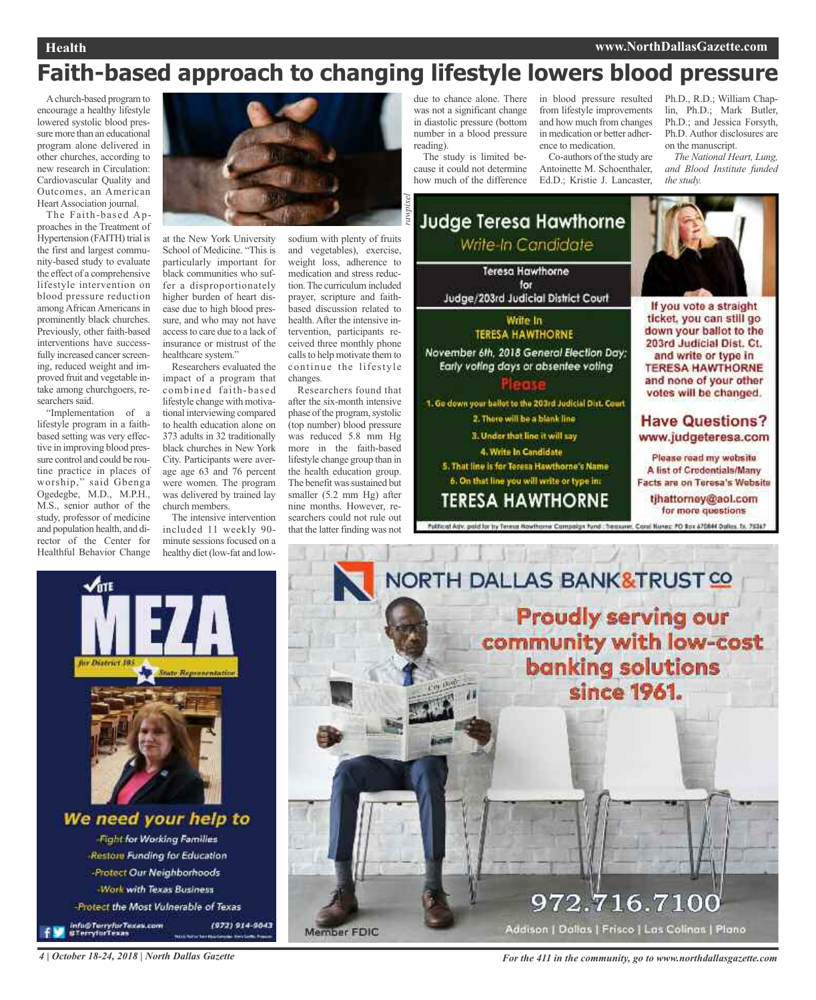### **Health www.NorthDallasGazette.com**

## **Faith-based approach to changing lifestyle lowers blood pressure**

Achurch-based program to encourage a healthy lifestyle lowered systolic blood pressure more than an educational program alone delivered in other churches, according to new research in Circulation: Cardiovascular Quality and Outcomes, an American Heart Association journal.

The Faith-based Approaches in the Treatment of Hypertension (FAITH) trial is the first and largest community-based study to evaluate the effect of a comprehensive lifestyle intervention on blood pressure reduction among African Americans in prominently black churches. Previously, other faith-based interventions have successfully increased cancer screening, reduced weight and improved fruit and vegetable intake among churchgoers, researchers said.

"Implementation of a lifestyle program in a faithbased setting was very effective in improving blood pressure control and could be routine practice in places of worship," said Gbenga Ogedegbe, M.D., M.P.H., M.S., senior author of the study, professor of medicine and population health, and director of the Center for Healthful Behavior Change



at the New York University School of Medicine. "This is particularly important for black communities who suffer a disproportionately higher burden of heart disease due to high blood pressure, and who may not have accessto care due to a lack of insurance or mistrust of the healthcare system."

Researchers evaluated the impact of a program that combined faith-based lifestyle change with motivational interviewing compared to health education alone on 373 adults in 32 traditionally black churches in New York City. Participants were average age 63 and 76 percent were women. The program was delivered by trained lay church members.

The intensive intervention included 11 weekly 90 minute sessions focused on a healthy diet(low-fat and low-

sodium with plenty of fruits and vegetables), exercise, weight loss, adherence to medication and stress reduction.The curriculum included prayer, scripture and faithbased discussion related to health.After the intensive intervention, participants received three monthly phone calls to help motivate them to continue the lifestyle changes.

Researchers found that after the six-month intensive phase of the program, systolic (top number) blood pressure was reduced 5.8 mm Hg more in the faith-based lifestyle change group than in the health education group. The benefit was sustained but smaller (5.2 mm Hg) after nine months. However, researchers could not rule out that the latter finding was not

due to chance alone. There was not a significant change in diastolic pressure (bottom number in a blood pressure reading).

The study is limited because it could not determine how much of the difference

in blood pressure resulted from lifestyle improvements and how much from changes in medication or better adherence to medication.

Co-authors of the study are Antoinette M. Schoenthaler, Ed.D.; Kristie J. Lancaster, Ph.D., R.D.; William Chaplin, Ph.D.; Mark Butler, Ph.D.; and Jessica Forsyth, Ph.D. Author disclosures are on the manuscript.

*The National Heart, Lung, and Blood Institute funded the study.*

### *rawpixel* **Judge Teresa Hawthorne** Write-In Candidate **Teresa Hawthorne** for Judge/203rd Judicial District Court If you vote a straight ticket, you can still go Write In down your ballot to the **TERESA HAWTHORNE** 203rd Judicial Dist. Ct. November 6th, 2018 General Election Day: and write or type in Early voting days or absentee voting **TERESA HAWTHORNE** and none of your other votes will be changed. 1. Go down your ballot to the 203rd Judicial Dist. Court 2. There will be a blank line **Have Questions?** 3. Under that line it will say www.judgeteresa.com 4. Write In Candidate Please read my website 5. That line is for Teresa Hawthorne's Name A list of Crodontials/Many 6. On that line you will write or type in: Facts are on Teresa's Website **TERESA HAWTHORNE** tjhattorney@aol.com for more questions Political Adv. poid for try Teresa Nowthorne Compaign Fund : Treasurer, Corol Nurver: FO Box 670844 Dollas, fx. 75347



Member FDIC



## We need your help to

**Fight for Working Families** Restore Funding for Education -Protect Our Neighborhoods **Work with Texas Business** Protect the Most Vulnerable of Texas (972) 914-9043 info@TerryforTexas.com<br>gTerryforTexas

4 | October 18-24, 2018 | North Dallas Gazette **Separate Separate Separate Separate Separate Separate Separate Separate Separate Separate Separate Separate Separate Separate Separate Separate Separate Separate Separate Sep**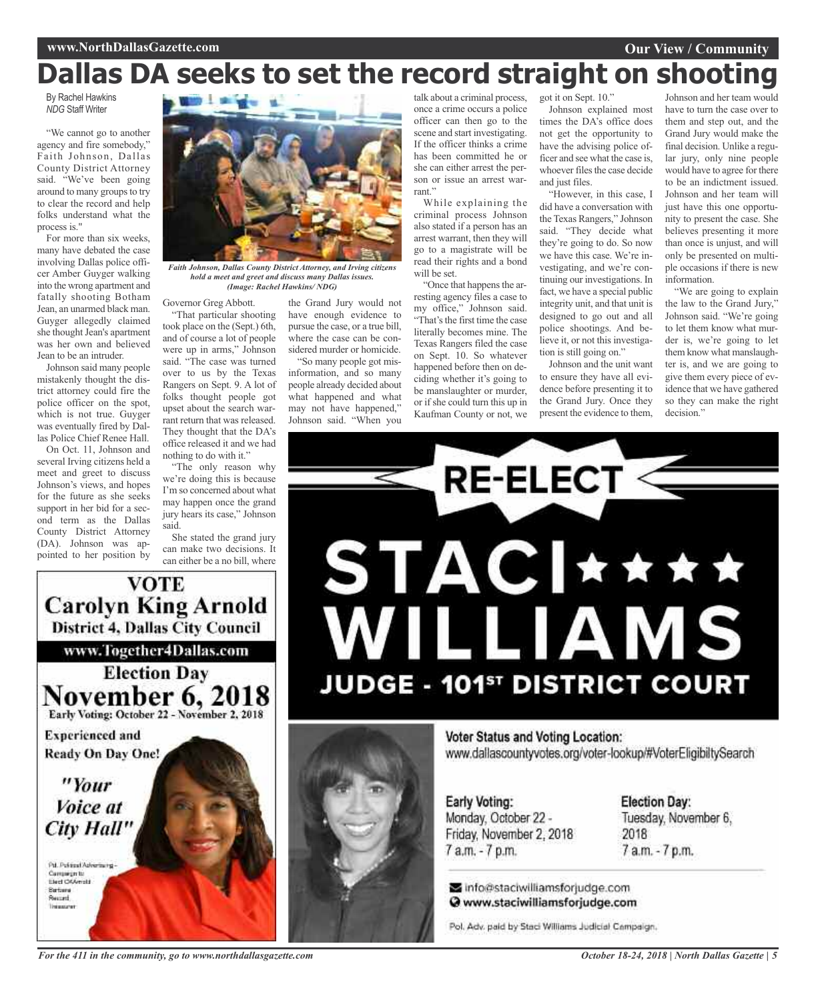### **Our View / Community**

## **Dallas DA seeks to set the record straight on shooting**

By Rachel Hawkins *NDG* Staff Writer

"We cannot go to another agency and fire somebody," Faith Johnson, Dallas County District Attorney said. "We've been going around to many groups to try to clear the record and help folks understand what the process is."

For more than six weeks, many have debated the case involving Dallas police officer Amber Guyger walking into the wrong apartment and fatally shooting Botham Jean, an unarmed black man. Guyger allegedly claimed she thought Jean's apartment was her own and believed Jean to be an intruder.

Johnson said many people mistakenly thought the district attorney could fire the police officer on the spot, which is not true. Guyger was eventually fired by Dallas Police Chief Renee Hall.

On Oct. 11, Johnson and several Irving citizens held a meet and greet to discuss Johnson's views, and hopes for the future as she seeks support in her bid for a second term as the Dallas County District Attorney (DA). Johnson was appointed to her position by

**Experienced and** 

"Your

Voice at

City Hall"

Pd. Petited Advertising Campaign to<br>Elect OKAmpla

Bartiera **Record** 

Ready On Day One!



*Faith Johnson, Dallas County District Attorney, and Irving citizens hold a meet and greet and discuss many Dallas issues. (Image: Rachel Hawkins/ NDG)*

Governor Greg Abbott.

"That particular shooting took place on the (Sept.) 6th, and of course a lot of people were up in arms," Johnson said. "The case was turned over to us by the Texas Rangers on Sept. 9. A lot of folks thought people got upset about the search warrant return that was released. They thought that the DA's office released it and we had nothing to do with it."

"The only reason why we're doing this is because I'm so concerned about what may happen once the grand jury hears its case," Johnson said.

She stated the grand jury can make two decisions. It can either be a no bill, where

VOTE

**Carolyn King Arnold** 

**District 4, Dallas City Council** 

www.Together4Dallas.com

**Election Day** 

**November 6, 2018** Early Voting: October 22 - November 2, 2018



sidered murder or homicide. "So many people got misinformation, and so many people already decided about what happened and what may not have happened," Johnson said. "When you

talk about a criminal process, once a crime occurs a police officer can then go to the scene and start investigating. If the officer thinks a crime has been committed he or she can either arrest the person or issue an arrest warrant."

While explaining the criminal process Johnson also stated if a person has an arrest warrant, then they will go to a magistrate will be read their rights and a bond will be set.

"Once that happens the arresting agency files a case to my office," Johnson said. "That's the first time the case literally becomes mine. The Texas Rangers filed the case on Sept. 10. So whatever happened before then on deciding whether it's going to be manslaughter or murder, or if she could turn this up in Kaufman County or not, we

got it on Sept. 10." Johnson explained most times the DA's office does not get the opportunity to have the advising police officer and see what the case is whoever files the case decide and just files.

"However, in this case, I did have a conversation with the Texas Rangers," Johnson said. "They decide what they're going to do. So now we have this case. We're investigating, and we're continuing our investigations. In fact, we have a special public integrity unit, and that unit is designed to go out and all police shootings. And believe it, or not this investigation is still going on."

Johnson and the unit want to ensure they have all evidence before presenting it to the Grand Jury. Once they present the evidence to them,

Johnson and her team would have to turn the case over to them and step out, and the Grand Jury would make the final decision. Unlike a regular jury, only nine people would have to agree for there to be an indictment issued. Johnson and her team will just have this one opportunity to present the case. She believes presenting it more than once is unjust, and will only be presented on multiple occasions if there is new information.

"We are going to explain the law to the Grand Jury," Johnson said. "We're going to let them know what murder is, we're going to let them know what manslaughter is, and we are going to give them every piece of evidence that we have gathered so they can make the right decision."





Voter Status and Voting Location: www.dallascountyvotes.org/voter-lookup/#VoterEligibiltySearch

Early Voting: Monday, October 22 -Friday, November 2, 2018 7 a.m. - 7 p.m.

**Election Day:** Tuesday, November 6, 2018 7 a.m. - 7 p.m.

info@staciwilliamsforjudge.com @ www.staciwilliamsforjudge.com

Pol. Adv. paid by Staci Williams Judicial Campaign.

*For the 411 in the community, go to www.northdallasgazette.com*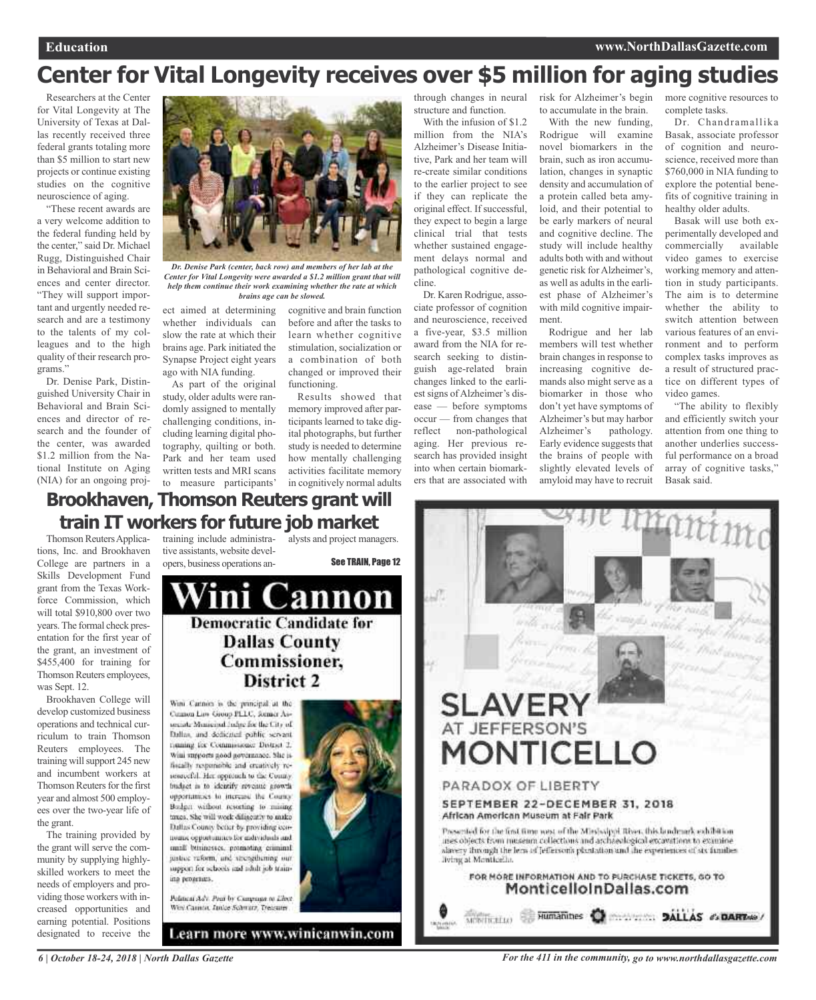## **Center for Vital Longevity receives over \$5 million for aging studies**

Researchers at the Center for Vital Longevity at The University of Texas at Dallas recently received three federal grants totaling more than \$5 million to start new projects or continue existing studies on the cognitive neuroscience of aging.

"These recent awards are a very welcome addition to the federal funding held by the center," said Dr. Michael Rugg, Distinguished Chair in Behavioral and Brain Sciences and center director. "They will support important and urgently needed research and are a testimony to the talents of my colleagues and to the high quality of their research programs."

Dr. Denise Park, Distinguished University Chair in Behavioral and Brain Sciences and director of research and the founder of the center, was awarded \$1.2 million from the National Institute on Aging (NIA) for an ongoing proj-

*Dr. Denise Park (center, back row) and members of her lab at the Center for Vital Longevity were awarded a \$1.2 million grant that will help them continue their work examining whether the rate at which brains age can be slowed.*

ect aimed at determining whether individuals can slow the rate at which their brains age. Park initiated the Synapse Project eight years ago with NIA funding.

As part of the original study, older adults were randomly assigned to mentally challenging conditions, including learning digital photography, quilting or both. Park and her team used written tests and MRI scans to measure participants' cognitive and brain function before and after the tasks to learn whether cognitive stimulation, socialization or a combination of both changed or improved their functioning.

Results showed that memory improved after participants learned to take digital photographs, but further study is needed to determine how mentally challenging activities facilitate memory in cognitively normal adults

structure and function.

With the infusion of \$1.2 million from the NIA's Alzheimer's Disease Initiative, Park and her team will re-create similar conditions to the earlier project to see if they can replicate the original effect. If successful, they expect to begin a large clinical trial that tests whether sustained engagement delays normal and pathological cognitive decline.

Dr. Karen Rodrigue, associate professor of cognition and neuroscience, received a five-year, \$3.5 million award from the NIA for research seeking to distinguish age-related brain changes linked to the earliest signs of Alzheimer's disease — before symptoms occur — from changes that reflect non-pathological aging. Her previous research has provided insight into when certain biomarkers that are associated with

through changes in neural risk for Alzheimer's begin to accumulate in the brain.

> With the new funding, Rodrigue will examine novel biomarkers in the brain, such as iron accumulation, changes in synaptic density and accumulation of a protein called beta amyloid, and their potential to be early markers of neural and cognitive decline. The study will include healthy adults both with and without genetic risk forAlzheimer's, as well as adults in the earliest phase of Alzheimer's with mild cognitive impairment.

Rodrigue and her lab members will test whether brain changes in response to increasing cognitive demands also might serve as a biomarker in those who don't yet have symptoms of Alzheimer's but may harbor Alzheimer's pathology. Early evidence suggests that the brains of people with slightly elevated levels of amyloid may have to recruit

more cognitive resources to complete tasks.

Dr. Chandramallika Basak, associate professor of cognition and neuroscience, received more than \$760,000 in NIA funding to explore the potential benefits of cognitive training in healthy older adults.

Basak will use both experimentally developed and commercially available video games to exercise working memory and attention in study participants. The aim is to determine whether the ability to switch attention between various features of an environment and to perform complex tasks improves as a result of structured practice on different types of video games.

"The ability to flexibly and efficiently switch your attention from one thing to another underlies successful performance on a broad array of cognitive tasks," Basak said.

**Brookhaven, Thomson Reuters grant will train IT workers for future job market**

Thomson Reuters Applications, Inc. and Brookhaven College are partners in a Skills Development Fund grant from the Texas Workforce Commission, which will total \$910,800 over two years.The formal check presentation for the first year of the grant, an investment of \$455,400 for training for Thomson Reuters employees, was Sept. 12.

Brookhaven College will develop customized business operations and technical curriculum to train Thomson Reuters employees. The training will support 245 new and incumbent workers at Thomson Reuters for the first year and almost 500 employees over the two-year life of the grant.

The training provided by the grant will serve the community by supplying highlyskilled workers to meet the needs of employers and providing those workers with increased opportunities and earning potential. Positions designated to receive the

training include administra-alysts and project managers. tive assistants, website developers, business operations an-

See TRAIN, Page 12

ini Cannon **Democratic Candidate for Dallas County** Commissioner, District 2

Wint Cartnon is the principal at the Cannon Law Group PLLC, Somer Assecurity Musicipal Judge for the City of Dallas, and dedicated public servant numing for Commissioner District 2. Wini surgeorts nood novemance. She isfiscally restomable and creatively resenrecht. Her opprench to the Countybudget is to identify royenne growth opportunities to increase the Councy. Bodget without resorting to mising toxes. She will week dilinearly to make Dallas County befur by providing cennomic opportunnes for individuals and small businesses, promoting criminal justice ruform, and strengthening our support for schools and adult job training programs.

Pelitical Adv. Pear by Campage to Liber. Wey Cannot, Junior Schmitz, Treasurer

Learn more www.winicanwin.com

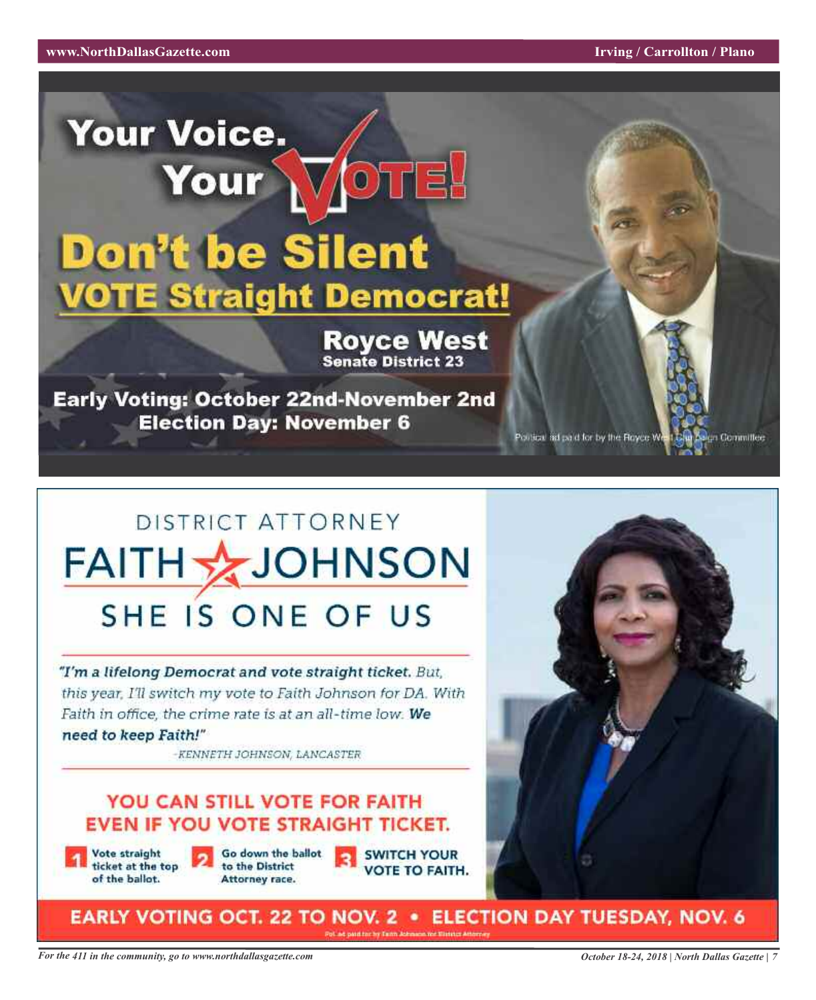en Committee



**Early Voting: October 22nd-November 2nd Election Day: November 6** 

# DISTRICT ATTORNEY **FAITH X JOHNSON** SHE IS ONE OF US

"I'm a lifelong Democrat and vote straight ticket. But, this year, I'll switch my vote to Faith Johnson for DA. With Faith in office, the crime rate is at an all-time low. We need to keep Faith!"

-KENNETH JOHNSON, LANCASTER

## **YOU CAN STILL VOTE FOR FAITH EVEN IF YOU VOTE STRAIGHT TICKET.**

Vote straight ticket at the top of the ballot.

Go down the ballot to the District Attorney race.

**SWITCH YOUR VOTE TO FAITH.** 



Political satisfied for by the Royce We

EARLY VOTING OCT. 22 TO NOV. 2 . ELECTION DAY TUESDAY, NOV. 6

For the 411 in the community, go to www.northdallasgazette.com October 18-24, 2018 | North Dallas Gazette | 7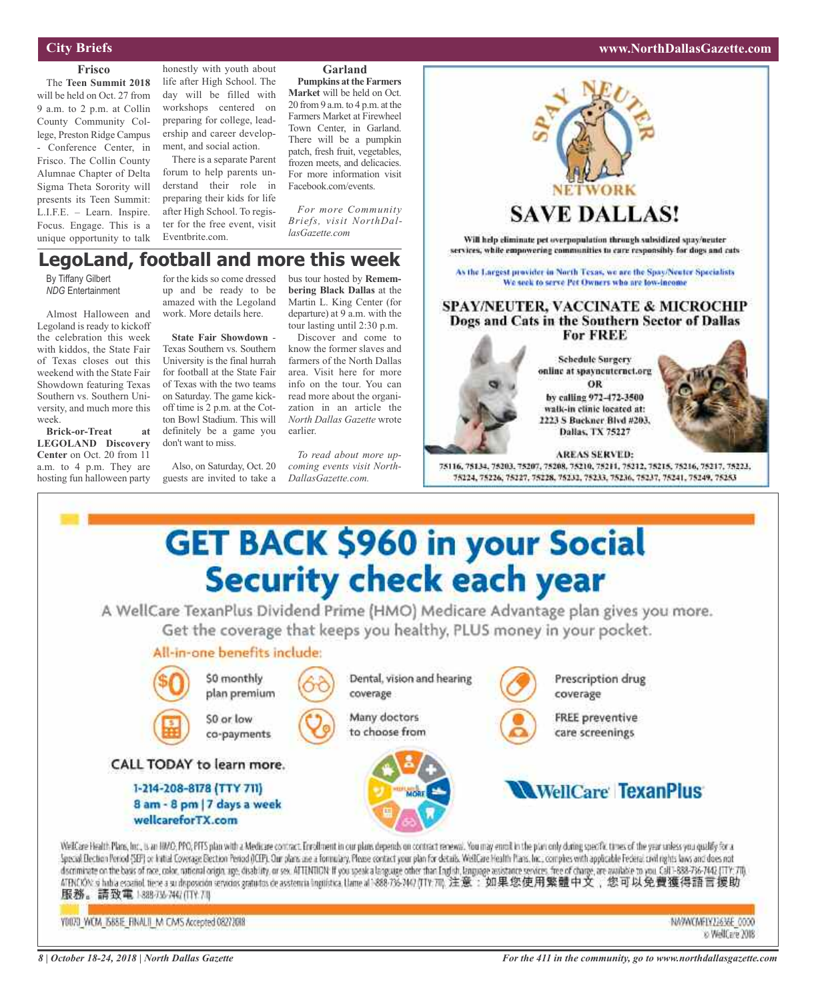### **City Briefs**

### **Frisco**

The **Teen Summit 2018** will be held on Oct. 27 from 9 a.m. to 2 p.m. at Collin County Community College, Preston Ridge Campus Conference Center, in Frisco. The Collin County Alumnae Chapter of Delta Sigma Theta Sorority will presents its Teen Summit: L.I.F.E. – Learn. Inspire. Focus. Engage. This is a unique opportunity to talk

By Tiffany Gilbert *NDG* Entertainment

week.

Almost Halloween and Legoland is ready to kickoff the celebration this week with kiddos, the State Fair of Texas closes out this weekend with the State Fair Showdown featuring Texas Southern vs. Southern University, and much more this

**Brick-or-Treat at LEGOLAND Discovery Center** on Oct. 20 from 11 a.m. to 4 p.m. They are hosting fun halloween party

honestly with youth about life after High School. The day will be filled with workshops centered on preparing for college, leadership and career development, and social action.

There is a separate Parent forum to help parents understand their role in preparing their kids for life after High School. To register for the free event, visit Eventbrite.com.

for the kids so come dressed up and be ready to be amazed with the Legoland work. More details here.

**LegoLand, football and more this week**

**State Fair Showdown** - Texas Southern vs. Southern University is the final hurrah for football at the State Fair of Texas with the two teams on Saturday. The game kickoff time is 2 p.m. at the Cotton Bowl Stadium. This will definitely be a game you

Also, on Saturday, Oct. 20 guests are invited to take a

don't want to miss.

**Garland**

**Pumpkins** at the **Farmers Market** will be held on Oct. 20 from 9 a.m. to 4 p.m. at the Farmers Market at Firewheel Town Center, in Garland. There will be a pumpkin patch, fresh fruit, vegetables, frozen meets, and delicacies. For more information visit Facebook.com/events.

*For more Community Briefs, visit NorthDallasGazette.com*

bus tour hosted by **Remembering Black Dallas** at the Martin L. King Center (for departure) at 9 a.m. with the tour lasting until 2:30 p.m. Discover and come to know the former slaves and farmers of the North Dallas area. Visit here for more info on the tour. You can read more about the organization in an article the *North Dallas Gazette* wrote

*To read about more upcoming events visit North-DallasGazette.com.*

earlier.

### **www.NorthDallasGazette.com**



**AREAS SERVED:** 

75116, 75134, 75203, 75207, 75208, 75210, 75211, 75212, 75215, 75216, 75217, 75223, 75224, 75226, 75227, 75228, 75232, 75233, 75236, 75237, 75241, 75249, 75253



Y0070 WCM ISBSIE FINALII M CMS Accepted 08272018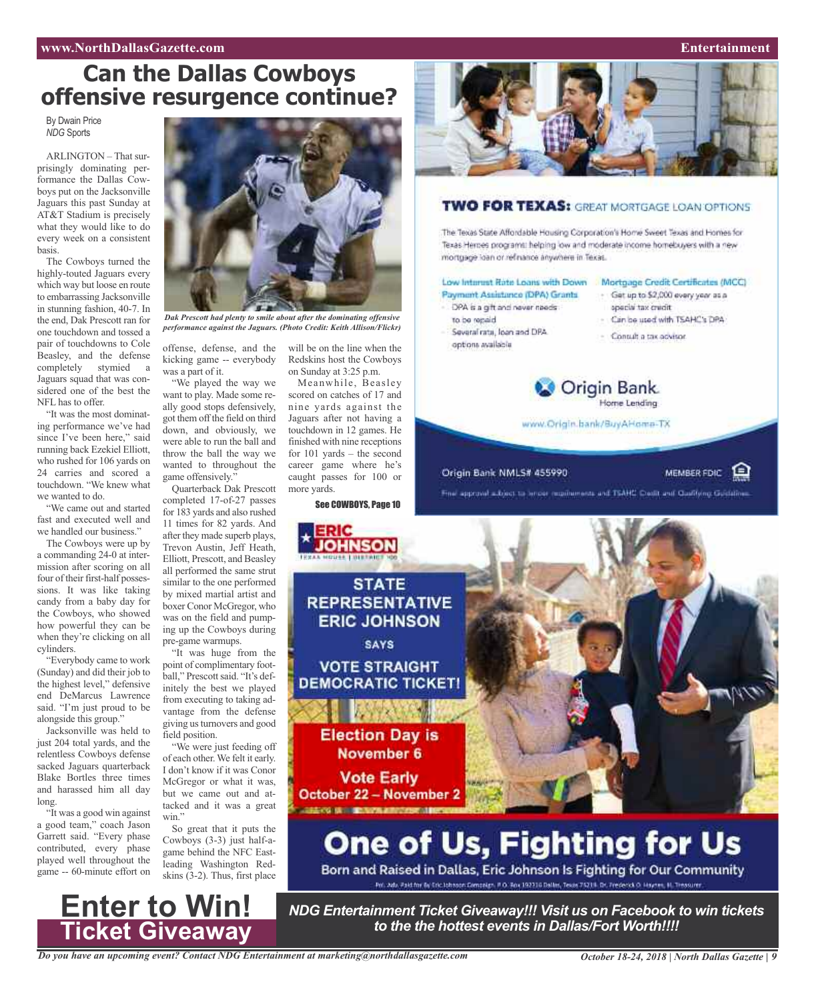## **Can the Dallas Cowboys offensive resurgence continue?**

### By Dwain Price *NDG* Sports

ARLINGTON – That surprisingly dominating performance the Dallas Cowboys put on the Jacksonville Jaguars this past Sunday at AT&T Stadium is precisely what they would like to do every week on a consistent basis.

The Cowboys turned the highly-touted Jaguars every which way but loose en route to embarrassing Jacksonville in stunning fashion, 40-7. In the end, Dak Prescott ran for one touchdown and tossed a pair of touchdowns to Cole Beasley, and the defense completely stymied a Jaguars squad that was considered one of the best the NFL has to offer.

"It was the most dominating performance we've had since I've been here," said running back Ezekiel Elliott, who rushed for 106 yards on 24 carries and scored a touchdown. "We knew what we wanted to do.

"We came out and started fast and executed well and we handled our business."

The Cowboys were up by a commanding 24-0 at intermission after scoring on all four of their first-half possessions. It was like taking candy from a baby day for the Cowboys, who showed how powerful they can be when they're clicking on all cylinders.

"Everybody came to work (Sunday) and did their job to the highest level," defensive end DeMarcus Lawrence said. "I'm just proud to be alongside this group."

Jacksonville was held to just 204 total yards, and the relentless Cowboys defense sacked Jaguars quarterback Blake Bortles three times and harassed him all day long.

"It was a good win against a good team," coach Jason Garrett said. "Every phase contributed, every phase played well throughout the game -- 60-minute effort on

**Enter to Win!**

**Ticket Giveaway**



*Dak Prescott had plenty to smile about after the dominating offensive performance against the Jaguars. (Photo Credit: Keith Allison/Flickr)*

offense, defense, and the kicking game -- everybody was a part of it.

"We played the way we want to play. Made some really good stops defensively, got them off the field on third down, and obviously, we were able to run the ball and throw the ball the way we wanted to throughout the game offensively."

Quarterback Dak Prescott completed 17-of-27 passes for 183 yards and also rushed 11 times for 82 yards. And after they made superb plays, Trevon Austin, Jeff Heath, Elliott, Prescott, and Beasley all performed the same strut similar to the one performed by mixed martial artist and boxer Conor McGregor, who was on the field and pumping up the Cowboys during pre-game warmups.

"It was huge from the point of complimentary football," Prescott said. "It's definitely the best we played from executing to taking advantage from the defense giving usturnovers and good field position.

"We were just feeding off of each other. We felt it early. I don't know if it was Conor McGregor or what it was, but we came out and attacked and it was a great win<sup>"</sup>

So great that it puts the Cowboys (3-3) just half-agame behind the NFC Eastleading Washington Redskins (3-2). Thus, first place

will be on the line when the Redskins host the Cowboys on Sunday at 3:25 p.m.

Meanwhile, Beasley scored on catches of 17 and nine yards against the Jaguars after not having a touchdown in 12 games. He finished with nine receptions for 101 yards – the second career game where he's caught passes for 100 or more yards.

See COWBOYS, Page 10



### **TWO FOR TEXAS: GREAT MORTGAGE LOAN OPTIONS**

The Texas State Affordable Housing Corporation's Home Sweet Texas and Homes for Texas Herces programs: helping low and moderate income homebuyers with a new mortgage ioan or refinance anywhere in Texas.

### Low Interest Rate Loans with Down Mortgage Credit Certificates (MCC)

Payment Assistance (DPA) Grants

- DPA is a gift and never needs to be repaid
- Several rate, loan and DPA
- options available.
- 
- Get up to \$2,000 every year as a special tax credit
- Can be used with TSAHC's DRA
- Consult a tax advisor.

**Corigin Bank** Home Lending

www.Origin.bank/BuyAHome-TX

### Origin Bank NMLS# 455990

### MEMBER FDIC E

Fine approve address to brider requirements and TSAHC Dealt and Qualifying Guidalines



# **One of Us, Fighting for Us**

Born and Raised in Dallas, Eric Johnson Is Fighting for Our Community Pro. Adv Pald for By Enclusheen Compaign, P.O. Rox 192316 Daller, Texas 75218. Dr. Precend O. Haynes, N. Tressurer

*NDG Entertainment Ticket Giveaway!!! Visit us on Facebook to win tickets to the the hottest events in Dallas/Fort Worth!!!!*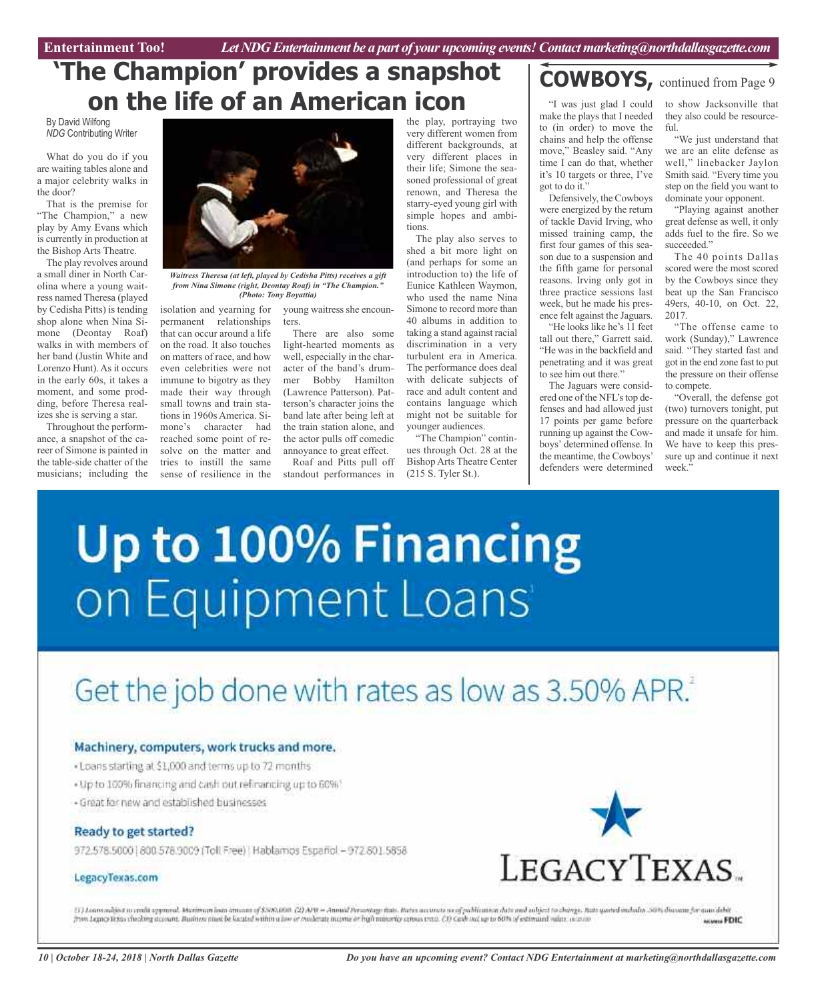## **'The Champion' provides a snapshot on the life of an American icon** The Maxis just glad I could

By David Wilfong *NDG* Contributing Writer

What do you do if you are waiting tables alone and a major celebrity walks in the door?

That is the premise for "The Champion," a new play by Amy Evans which is currently in production at the Bishop Arts Theatre.

The play revolves around a small diner in North Carolina where a young waitress named Theresa (played by Cedisha Pitts) is tending shop alone when Nina Simone (Deontay Roaf) walks in with members of her band (Justin White and Lorenzo Hunt). As it occurs in the early 60s, it takes a moment, and some prodding, before Theresa realizes she is serving a star.

Throughout the performance, a snapshot of the career of Simone is painted in the table-side chatter of the musicians; including the



*Waitress Theresa (at left, played by Cedisha Pitts) receives a gift from Nina Simone (right, Deontay Roaf) in "The Champion." (Photo: Tony Boyattia)*

isolation and yearning for permanent relationships that can occur around a life on the road. It also touches on matters of race, and how even celebrities were not immune to bigotry as they made their way through small towns and train stations in 1960s America. Simone's character had reached some point of resolve on the matter and tries to instill the same sense of resilience in the

young waitress she encounters.

> There are also some light-hearted moments as well, especially in the character of the band's drummer Bobby Hamilton (Lawrence Patterson). Patterson's character joins the band late after being left at the train station alone, and the actor pulls off comedic annoyance to great effect.

Roaf and Pitts pull off standout performances in

the play, portraying two very different women from different backgrounds, at very different places in their life; Simone the seasoned professional of great renown, and Theresa the starry-eyed young girl with simple hopes and ambitions.

The play also serves to shed a bit more light on (and perhaps for some an introduction to) the life of Eunice Kathleen Waymon, who used the name Nina Simone to record more than 40 albums in addition to taking a stand against racial discrimination in a very turbulent era in America. The performance does deal with delicate subjects of race and adult content and contains language which might not be suitable for younger audiences.

"The Champion" continues through Oct. 28 at the Bishop Arts Theatre Center (215 S. Tyler St.).

## **COWBOYS,** continued from Page <sup>9</sup>

make the plays that I needed to (in order) to move the chains and help the offense move," Beasley said. "Any time I can do that, whether it's 10 targets or three, I've got to do it."

Defensively, the Cowboys were energized by the return of tackle David Irving, who missed training camp, the first four games of this season due to a suspension and the fifth game for personal reasons. Irving only got in three practice sessions last week, but he made his presence felt against the Jaguars.

"He looks like he's 11 feet tall out there," Garrett said. "He wasin the backfield and penetrating and it was great to see him out there."

The Jaguars were considered one of the NFL's top defenses and had allowed just 17 points per game before running up against the Cowboys' determined offense. In the meantime, the Cowboys' defenders were determined to show Jacksonville that they also could be resourceful.

"We just understand that we are an elite defense as well," linebacker Jaylon Smith said. "Every time you step on the field you want to dominate your opponent.

"Playing against another great defense as well, it only adds fuel to the fire. So we succeeded."

The 40 points Dallas scored were the most scored by the Cowboys since they beat up the San Francisco 49ers, 40-10, on Oct. 22, 2017.

"The offense came to work (Sunday)," Lawrence said. "They started fast and got in the end zone fast to put the pressure on their offense to compete.

"Overall, the defense got (two) turnovers tonight, put pressure on the quarterback and made it unsafe for him. We have to keep this pressure up and continue it next week.'

# Up to 100% Financing on Equipment Loans

# Get the job done with rates as low as 3.50% APR.

### Machinery, computers, work trucks and more,

- . Loans starting at \$1,000 and terms up to 72 months
- . Up to 100% financing and cash out relinancing up to 60%"
- Great for new and established businesses

### Ready to get started?

972.578.5000 | 800.578.9009 (Toll Free) | Hablamos Español - 972.801.5858

### LegacyTexas.com



[1] Louis adject to credit egyptised. Meximum been imitiate (\$500,000. (2) APT = Annual Perustrage thats. Rates accurate is of publication date and subject to change. But quoted includes .30% discuming a quoted includes from Legner Desking account. Business must be located within a low or moderate income or high minority census trata. (3) Cash out up to 60% of estimated value, occurso Novem FDIC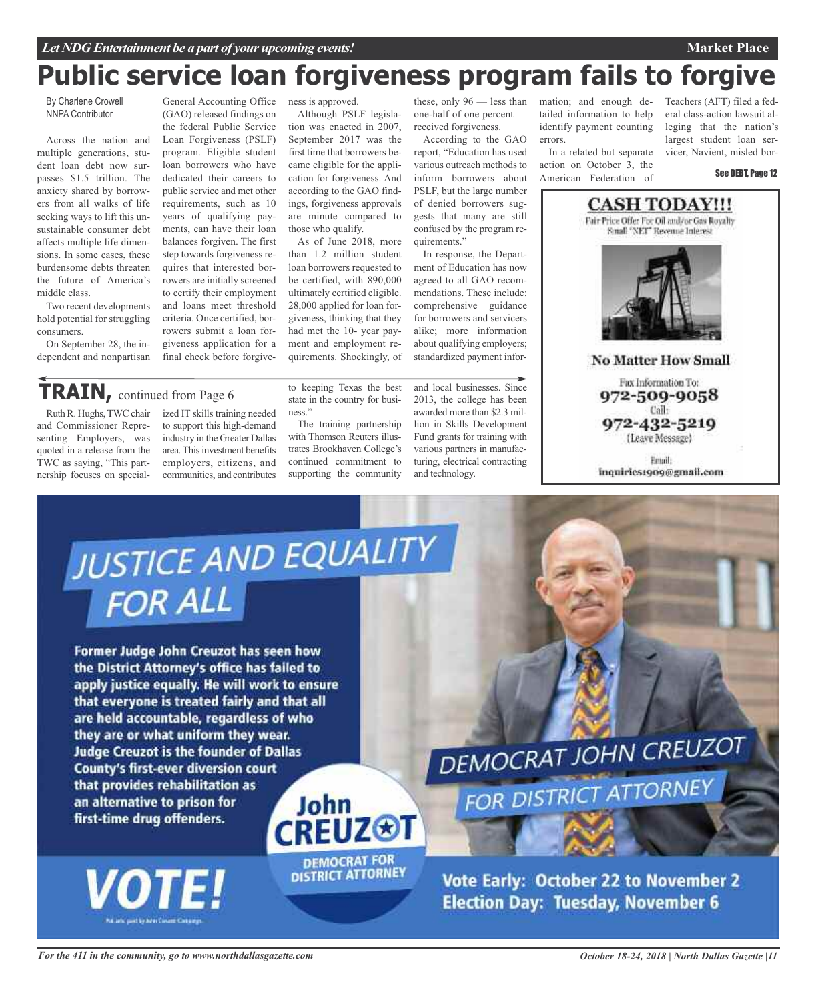## **Public service loan forgiveness program fails to forgive**

By Charlene Crowell NNPA Contributor

Across the nation and multiple generations, student loan debt now surpasses \$1.5 trillion. The anxiety shared by borrowers from all walks of life seeking ways to lift this unsustainable consumer debt affects multiple life dimensions. In some cases, these burdensome debts threaten the future of America's middle class.

Two recent developments hold potential for struggling consumers.

On September 28, the independent and nonpartisan

(GAO) released findings on the federal Public Service Loan Forgiveness (PSLF) program. Eligible student loan borrowers who have dedicated their careers to public service and met other requirements, such as 10 years of qualifying payments, can have their loan balances forgiven. The first step towards forgiveness requires that interested borrowers are initially screened to certify their employment and loans meet threshold criteria. Once certified, borrowers submit a loan forgiveness application for a final check before forgive-

General Accounting Office

ness is approved.

Although PSLF legislation was enacted in 2007, September 2017 was the first time that borrowers became eligible for the application for forgiveness. And according to the GAO findings, forgiveness approvals are minute compared to those who qualify.

As of June 2018, more than 1.2 million student loan borrowers requested to be certified, with 890,000 ultimately certified eligible. 28,000 applied for loan forgiveness, thinking that they had met the 10- year payment and employment requirements. Shockingly, of these, only 96 — less than one-half of one percent received forgiveness.

According to the GAO report, "Education has used various outreach methods to inform borrowers about PSLF, but the large number of denied borrowers suggests that many are still confused by the program requirements."

In response, the Department of Education has now agreed to all GAO recommendations. These include: comprehensive guidance for borrowers and servicers alike; more information about qualifying employers; standardized payment infor-

mation; and enough detailed information to help identify payment counting errors.

> In a related but separate action on October 3, the American Federation of

Teachers (AFT) filed a federal class-action lawsuit alleging that the nation's largest student loan servicer, Navient, misled bor-

**Market Place**

See DEBT, Page 12



**No Matter How Small** 

Fax Information To: 972-509-9058 Call: 972-432-5219 (Leave Message)

Finall: inquiries1909@gmail.com

**TRAIN,** continued from Page <sup>6</sup>

Ruth R. Hughs, TWC chair and Commissioner Representing Employers, was quoted in a release from the TWC as saying, "This partnership focuses on special-

ized IT skills training needed to support this high-demand industry in the Greater Dallas area. This investment benefits employers, citizens, and communities, and contributes

to keeping Texas the best state in the country for business." The training partnership

with Thomson Reuters illustrates Brookhaven College's continued commitment to supporting the community

**DEMOCRAT FOR** DISTRICT ATTORNEY and local businesses. Since 2013, the college has been awarded more than \$2.3 million in Skills Development Fund grants for training with various partners in manufacturing, electrical contracting and technology.



Former Judge John Creuzot has seen how the District Attorney's office has failed to apply justice equally. He will work to ensure that everyone is treated fairly and that all are held accountable, regardless of who they are or what uniform they wear. **Judge Creuzot is the founder of Dallas County's first-ever diversion court** that provides rehabilitation as John an alternative to prison for **CREUZ<sup>®T</sup>** first-time drug offenders.



DEMOCRAT JOHN CREUZOT

FOR DISTRICT ATTORNEY

**Vote Early: October 22 to November 2 Election Day: Tuesday, November 6** 

*For the 411 in the community, go to www.northdallasgazette.com*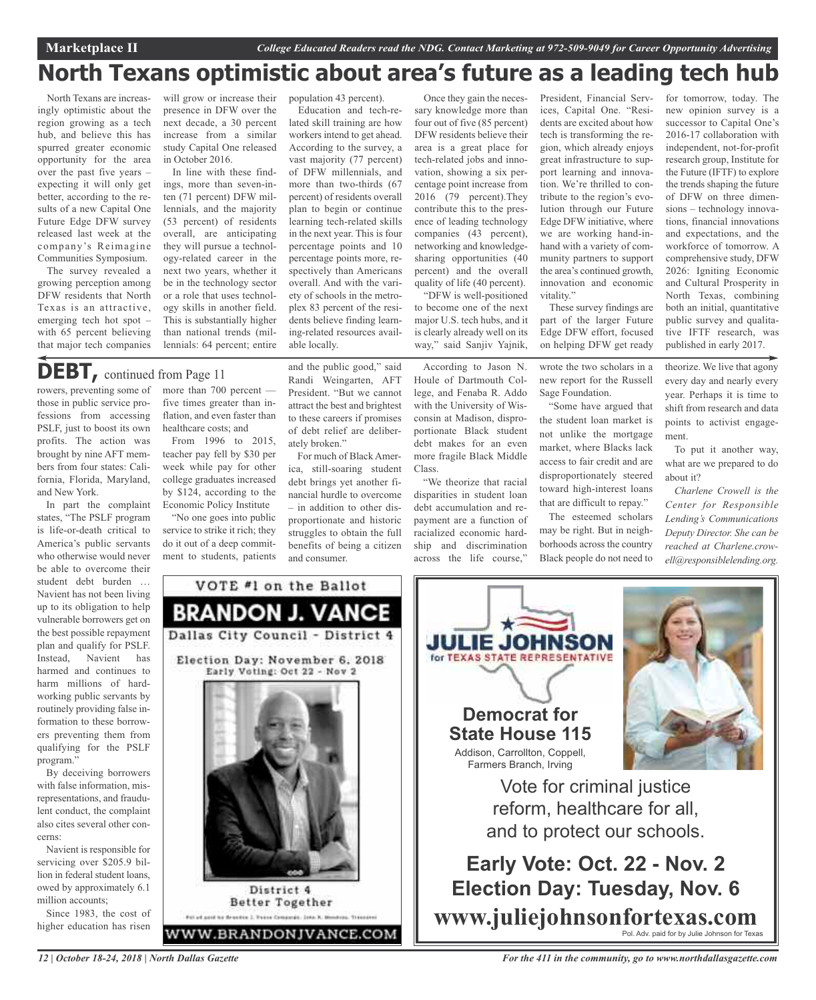## **North Texans optimistic about area's future as a leading tech hub**

North Texans are increasingly optimistic about the region growing as a tech hub, and believe this has spurred greater economic opportunity for the area over the past five years – expecting it will only get better, according to the results of a new Capital One Future Edge DFW survey released last week at the company's Reimagine Communities Symposium.

The survey revealed a growing perception among DFW residents that North Texas is an attractive, emerging tech hot spot – with 65 percent believing that major tech companies

will grow or increase their presence in DFW over the next decade, a 30 percent increase from a similar study Capital One released in October 2016.

In line with these findings, more than seven-inten (71 percent) DFW millennials, and the majority (53 percent) of residents overall, are anticipating they will pursue a technology-related career in the next two years, whether it be in the technology sector or a role that uses technology skills in another field. This is substantially higher than national trends (millennials: 64 percent; entire

population 43 percent).

Education and tech-related skill training are how workers intend to get ahead. According to the survey, a vast majority (77 percent) of DFW millennials, and more than two-thirds (67 percent) of residents overall plan to begin or continue learning tech-related skills in the next year. This is four percentage points and 10 percentage points more, respectively than Americans overall. And with the variety of schools in the metroplex 83 percent of the residents believe finding learning-related resources available locally.

Once they gain the necessary knowledge more than four out of five (85 percent) DFW residents believe their area is a great place for tech-related jobs and innovation, showing a six percentage point increase from 2016 (79 percent).They contribute this to the presence of leading technology companies (43 percent), networking and knowledgesharing opportunities (40 percent) and the overall quality of life (40 percent).

"DFW is well-positioned to become one of the next major U.S. tech hubs, and it is clearly already well on its way," said Sanjiv Yajnik,

According to Jason N. Houle of Dartmouth College, and Fenaba R. Addo with the University of Wisconsin at Madison, disproportionate Black student debt makes for an even

"We theorize that racial disparities in student loan debt accumulation and repayment are a function of racialized economic hardship and discrimination across the life course,"

President, Financial Services, Capital One. "Residents are excited about how tech is transforming the region, which already enjoys great infrastructure to support learning and innovation. We're thrilled to contribute to the region's evolution through our Future Edge DFW initiative, where we are working hand-inhand with a variety of community partners to support the area's continued growth, innovation and economic vitality."

These survey findings are part of the larger Future Edge DFW effort, focused on helping DFW get ready

wrote the two scholars in a

for tomorrow, today. The new opinion survey is a successor to Capital One's 2016-17 collaboration with independent, not-for-profit research group, Institute for the Future (IFTF) to explore the trends shaping the future of DFW on three dimensions – technology innovations, financial innovations and expectations, and the workforce of tomorrow. A comprehensive study, DFW 2026: Igniting Economic and Cultural Prosperity in North Texas, combining both an initial, quantitative public survey and qualitative IFTF research, was published in early 2017.

theorize. We live that agony every day and nearly every year. Perhaps it is time to shift from research and data points to activist engagement.

To put it another way, what are we prepared to do about it?

*Charlene Crowell is the Center for Responsible Lending's Communications Deputy Director. She can be reached at Charlene.crowell@responsiblelending.org.*

rowers, preventing some of those in public service professions from accessing PSLF, just to boost its own profits. The action was brought by nine AFT members from four states: California, Florida, Maryland, and New York. **DEBT,** continued from Page <sup>11</sup>

In part the complaint states, "The PSLF program is life-or-death critical to America's public servants who otherwise would never be able to overcome their student debt burden … Navient has not been living up to its obligation to help vulnerable borrowers get on the best possible repayment plan and qualify for PSLF. Instead, Navient has harmed and continues to harm millions of hardworking public servants by routinely providing false information to these borrowers preventing them from qualifying for the PSLF program."

By deceiving borrowers with false information, misrepresentations, and fraudulent conduct, the complaint also cites several other concerns:

Navient is responsible for servicing over \$205.9 billion in federal student loans, owed by approximately 6.1 million accounts;

Since 1983, the cost of higher education has risen

more than 700 percent five times greater than inflation, and even faster than healthcare costs; and

From 1996 to 2015, teacher pay fell by \$30 per week while pay for other college graduates increased by \$124, according to the Economic Policy Institute

"No one goes into public service to strike it rich; they do it out of a deep commitment to students, patients

and the public good," said Randi Weingarten, AFT President. "But we cannot attract the best and brightest to these careers if promises of debt relief are deliber-

ately broken"

WWW.BRANDONJVANCE.COM

For much of Black America, still-soaring student debt brings yet another financial hurdle to overcome – in addition to other disproportionate and historic struggles to obtain the full benefits of being a citizen and consumer.

more fragile Black Middle Class.

new report for the Russell Sage Foundation. "Some have argued that the student loan market is not unlike the mortgage

market, where Blacks lack access to fair credit and are disproportionately steered toward high-interest loans that are difficult to repay."

The esteemed scholars may be right. But in neighborhoods across the country Black people do not need to

Vote for criminal justice reform, healthcare for all,

**Early Vote: Oct. 22 - Nov. 2 Election Day: Tuesday, Nov. 6 www.juliejohnsonfortexas.com** Pol. Adv. paid for by Julie Johnson for Texas

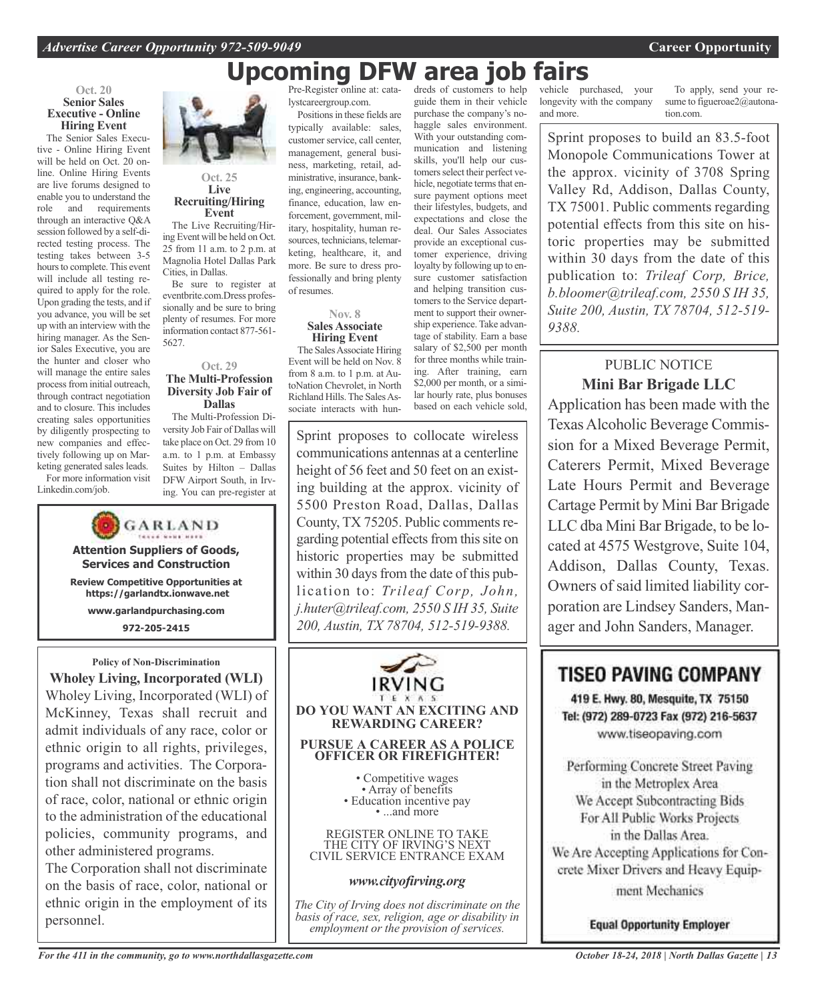## **Upcoming DFW area job fairs**

**Oct. 20 Senior Sales Executive - Online Hiring Event**

The Senior Sales Executive - Online Hiring Event will be held on Oct. 20 online. Online Hiring Events are live forums designed to enable you to understand the role and requirements through an interactive Q&A session followed by a self-directed testing process. The testing takes between 3-5 hours to complete. This event will include all testing required to apply for the role. Upon grading the tests, and if you advance, you will be set up with an interview with the hiring manager. As the Senior Sales Executive, you are the hunter and closer who will manage the entire sales process from initial outreach. through contract negotiation and to closure. This includes creating sales opportunities by diligently prospecting to new companies and effectively following up on Marketing generated sales leads.

For more information visit Linkedin.com/job.



### **Oct. 25 Live Recruiting/Hiring Event**

The Live Recruiting/Hiring Event will be held on Oct. 25 from 11 a.m. to 2 p.m. at Magnolia Hotel Dallas Park Cities, in Dallas.

Be sure to register at eventbrite.com.Dress professionally and be sure to bring plenty of resumes. For more information contact 877-561- 5627.

### **Oct. 29 The Multi-Profession Diversity Job Fair of Dallas**

The Multi-Profession Diversity Job Fair of Dallas will take place on Oct. 29 from 10 a.m. to 1 p.m. at Embassy Suites by Hilton – Dallas DFW Airport South, in Irving. You can pre-register at



**Attention Suppliers of Goods, Services and Construction**

**Review Competitive Opportunities at https://garlandtx.ionwave.net**

**www.garlandpurchasing.com 972-205-2415**

**Policy of Non-Discrimination Wholey Living, Incorporated (WLI)** Wholey Living, Incorporated (WLI) of McKinney, Texas shall recruit and admit individuals of any race, color or ethnic origin to all rights, privileges, programs and activities. The Corporation shall not discriminate on the basis of race, color, national or ethnic origin to the administration of the educational policies, community programs, and other administered programs.

The Corporation shall not discriminate on the basis of race, color, national or ethnic origin in the employment of its personnel.

Pre-Register online at: catalystcareergroup.com.

Positions in these fields are typically available: sales, customer service, call center, management, general business, marketing, retail, administrative, insurance, banking, engineering, accounting, finance, education, law enforcement, government, military, hospitality, human resources, technicians, telemarketing, healthcare, it, and more. Be sure to dress professionally and bring plenty of resumes.

> **Nov. 8 Sales Associate Hiring Event**

The Sales Associate Hiring Event will be held on Nov. 8 from 8 a.m. to 1 p.m. at AutoNation Chevrolet, in North Richland Hills. The Sales Associate interacts with hundreds of customers to help guide them in their vehicle purchase the company's nohaggle sales environment. With your outstanding communication and listening skills, you'll help our customers select their perfect vehicle, negotiate terms that ensure payment options meet their lifestyles, budgets, and expectations and close the deal. Our Sales Associates provide an exceptional customer experience, driving loyalty by following up to ensure customer satisfaction and helping transition customers to the Service department to support their ownership experience. Take advantage of stability. Earn a base salary of \$2,500 per month for three months while training. After training, earn \$2,000 per month, or a similar hourly rate, plus bonuses

Sprint proposes to collocate wireless communications antennas at a centerline height of 56 feet and 50 feet on an existing building at the approx. vicinity of 5500 Preston Road, Dallas, Dallas County, TX 75205. Public comments regarding potential effects from this site on historic properties may be submitted within 30 days from the date of this publication to: *Trileaf Corp, John, j.huter@trileaf.com, 2550 S IH 35, Suite 200, Austin, TX 78704, 512-519-9388.*



based on each vehicle sold, *9388.*

vehicle purchased, your longevity with the company and more.

To apply, send your resume to figueroae2@autonation.com.

Sprint proposes to build an 83.5-foot Monopole Communications Tower at the approx. vicinity of 3708 Spring Valley Rd, Addison, Dallas County, TX 75001. Public comments regarding potential effects from this site on historic properties may be submitted within 30 days from the date of this publication to: *Trileaf Corp, Brice, b.bloomer@trileaf.com, 2550 S IH 35, Suite 200, Austin, TX 78704, 512-519-*

### PUBLIC NOTICE **Mini Bar Brigade LLC**

Application has been made with the TexasAlcoholic Beverage Commission for a Mixed Beverage Permit, Caterers Permit, Mixed Beverage Late Hours Permit and Beverage Cartage Permit by Mini Bar Brigade LLC dba Mini Bar Brigade, to be located at 4575 Westgrove, Suite 104, Addison, Dallas County, Texas. Owners of said limited liability corporation are Lindsey Sanders, Manager and John Sanders, Manager.

## TISEO PAVING COMPANY

419 E. Hwy. 80, Mesquite, TX 75150 Tel: (972) 289-0723 Fax (972) 216-5637 www.tiseopaving.com

Performing Concrete Street Paving in the Metroplex Area We Accept Subcontracting Bids For All Public Works Projects in the Dallas Area. We Are Accepting Applications for Concrete Mixer Drivers and Heavy Equipment Mechanics

**Equal Opportunity Employer** 

*For the 411 in the community, go to www.northdallasgazette.com*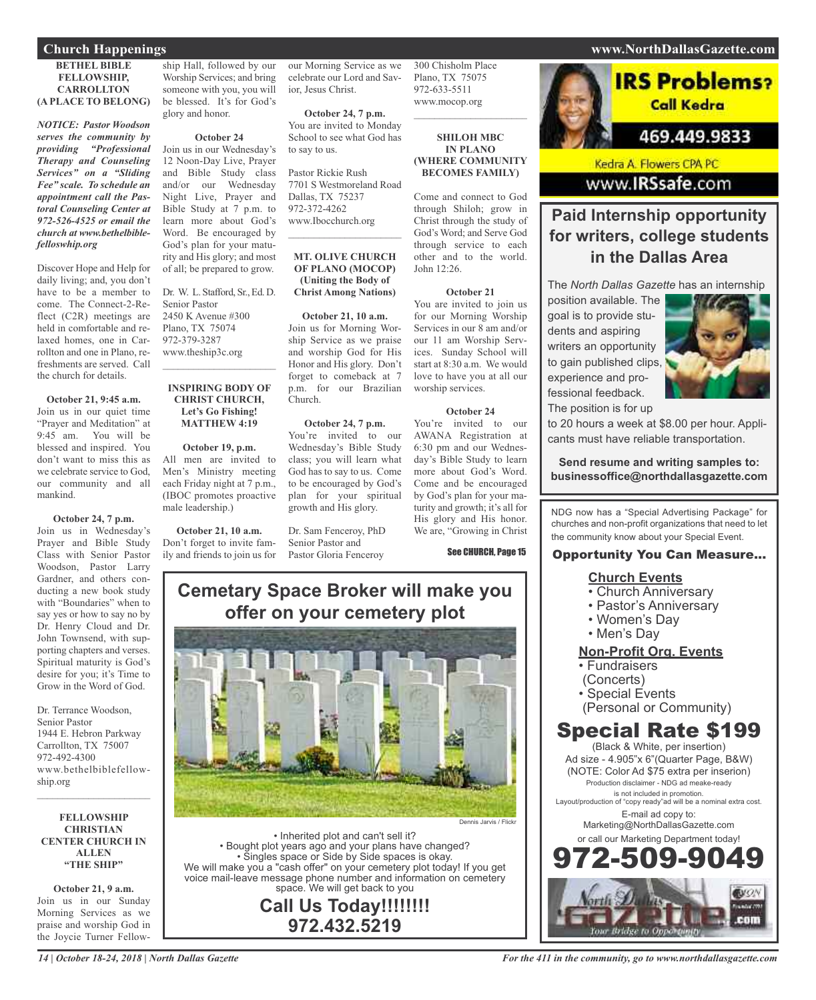### **BETHEL BIBLE FELLOWSHIP, CARROLLTON (A PLACE TO BELONG)**

*NOTICE: Pastor Woodson serves the community by providing "Professional Therapy and Counseling Services" on a "Sliding Fee" scale. To schedule an appointment call the Pastoral Counseling Center at 972-526-4525 or email the church at www.bethelbiblefelloswhip.org*

Discover Hope and Help for daily living; and, you don't have to be a member to come. The Connect-2-Reflect (C2R) meetings are held in comfortable and relaxed homes, one in Carrollton and one in Plano, refreshments are served. Call the church for details.

**October 21, 9:45 a.m.** Join us in our quiet time "Prayer and Meditation" at 9:45 am. You will be blessed and inspired. You don't want to miss this as we celebrate service to God our community and all mankind.

### **October 24, 7 p.m.**

Join us in Wednesday's Prayer and Bible Study Class with Senior Pastor Woodson, Pastor Larry Gardner, and others conducting a new book study with "Boundaries" when to say yes or how to say no by Dr. Henry Cloud and Dr. John Townsend, with supporting chapters and verses. Spiritual maturity is God's desire for you; it's Time to Grow in the Word of God.

Dr. Terrance Woodson, Senior Pastor 1944 E. Hebron Parkway Carrollton, TX 75007 972-492-4300 www.bethelbiblefellowship.org

**FELLOWSHIP CHRISTIAN CENTER CHURCH IN ALLEN "THE SHIP"**

 $\mathcal{L}=\mathcal{L}^{\mathcal{L}}$  , where  $\mathcal{L}^{\mathcal{L}}$  , we have the set of the set of the set of the set of the set of the set of the set of the set of the set of the set of the set of the set of the set of the set of the set of

**October 21, 9 a.m.** Join us in our Sunday Morning Services as we praise and worship God in the Joycie Turner Fellow-

ship Hall, followed by our Worship Services; and bring someone with you, you will be blessed. It's for God's glory and honor.

### **October 24**

Join us in our Wednesday's 12 Noon-Day Live, Prayer and Bible Study class and/or our Wednesday Night Live, Prayer and Bible Study at 7 p.m. to learn more about God's Word. Be encouraged by God's plan for your maturity and His glory; and most of all; be prepared to grow.

Dr. W. L. Stafford, Sr., Ed. D. Senior Pastor 2450 K Avenue #300 Plano, TX 75074 972-379-3287 www.theship3c.org

### **INSPIRING BODY OF CHRIST CHURCH, Let's Go Fishing! MATTHEW 4:19**

 $\mathcal{L}_\text{max}$  and  $\mathcal{L}_\text{max}$  and  $\mathcal{L}_\text{max}$ 

**October 19, p.m.** All men are invited to Men's Ministry meeting each Friday night at 7 p.m., (IBOC promotes proactive male leadership.)

**October 21, 10 a.m.** Don't forget to invite family and friends to join us for Pastor Gloria Fenceroy

our Morning Service as we celebrate our Lord and Savior, Jesus Christ.

**October 24, 7 p.m.** You are invited to Monday School to see what God has to say to us.

Pastor Rickie Rush 7701 S Westmoreland Road Dallas, TX 75237 972-372-4262 www.Ibocchurch.org  $\overline{\phantom{a}}$  , and the set of the set of the set of the set of the set of the set of the set of the set of the set of the set of the set of the set of the set of the set of the set of the set of the set of the set of the s

### **MT. OLIVE CHURCH OF PLANO (MOCOP) (Uniting the Body of Christ Among Nations)**

**October 21, 10 a.m.** Join us for Morning Worship Service as we praise and worship God for His Honor and His glory. Don't forget to comeback at 7 p.m. for our Brazilian Church.

### **October 24, 7 p.m.** You're invited to our

Wednesday's Bible Study class; you will learn what God has to say to us. Come to be encouraged by God's plan for your spiritual growth and His glory.

Dr. Sam Fenceroy, PhD Senior Pastor and

300 Chisholm Place Plano, TX 75075 972-633-5511 www.mocop.org

### **SHILOH MBC IN PLANO (WHERE COMMUNITY BECOMES FAMILY)**

 $\mathcal{L}$  , and the set of the set of the set of the set of the set of the set of the set of the set of the set of the set of the set of the set of the set of the set of the set of the set of the set of the set of the set

Come and connect to God through Shiloh; grow in Christ through the study of God's Word; and Serve God through service to each other and to the world. John 12:26.

### **October 21**

You are invited to join us for our Morning Worship Services in our 8 am and/or our 11 am Worship Services. Sunday School will start at 8:30 a.m. We would love to have you at all our worship services.

### **October 24**

You're invited to our AWANA Registration at 6:30 pm and our Wednesday's Bible Study to learn more about God's Word. Come and be encouraged by God's plan for your maturity and growth; it's all for His glory and His honor. We are, "Growing in Christ

See CHURCH, Page 15

## **Cemetary Space Broker will make you offer on your cemetery plot**



Dennis Jarvis / Flickr

• Inherited plot and can't sell it? • Bought plot years ago and your plans have changed? • Singles space or Side by Side spaces is okay. We will make you a "cash offer" on your cemetery plot today! If you get voice mail-leave message phone number and information on cemetery space. We will get back to you

> **Call Us Today!!!!!!!! 972.432.5219**

**IRS Problems?** Call Kedra 469.449.9833

Kedra A. Flowers CPA PC

www.IRSsafe.com

## **Paid Internship opportunity for writers, college students in the Dallas Area**

The *North Dallas Gazette* has an internship

position available. The goal is to provide students and aspiring writers an opportunity to gain published clips, experience and professional feedback. The position is for up



to 20 hours a week at \$8.00 per hour. Applicants must have reliable transportation.

**Send resume and writing samples to: businessoffice@northdallasgazette.com**

NDG now has a "Special Advertising Package" for churches and non-profit organizations that need to let the community know about your Special Event.

### Opportunity You Can Measure...

### **Church Events**

- Church Anniversary
- Pastor's Anniversary
- Women's Day
- Men's Day

### **Non-Profit Org. Events**

- Fundraisers
- (Concerts)
- Special Events
- (Personal or Community)

## Special Rate \$199

(Black & White, per insertion) Ad size - 4.905"x 6"(Quarter Page, B&W) (NOTE: Color Ad \$75 extra per inserion) Production disclaimer - NDG ad meake-ready is not included in promotion. Layout/production of "copy ready"ad will be a nominal extra cost. E-mail ad copy to: Marketing@NorthDallasGazette.com or call our Marketing Department today!



### **Church Happenings www.NorthDallasGazette.com**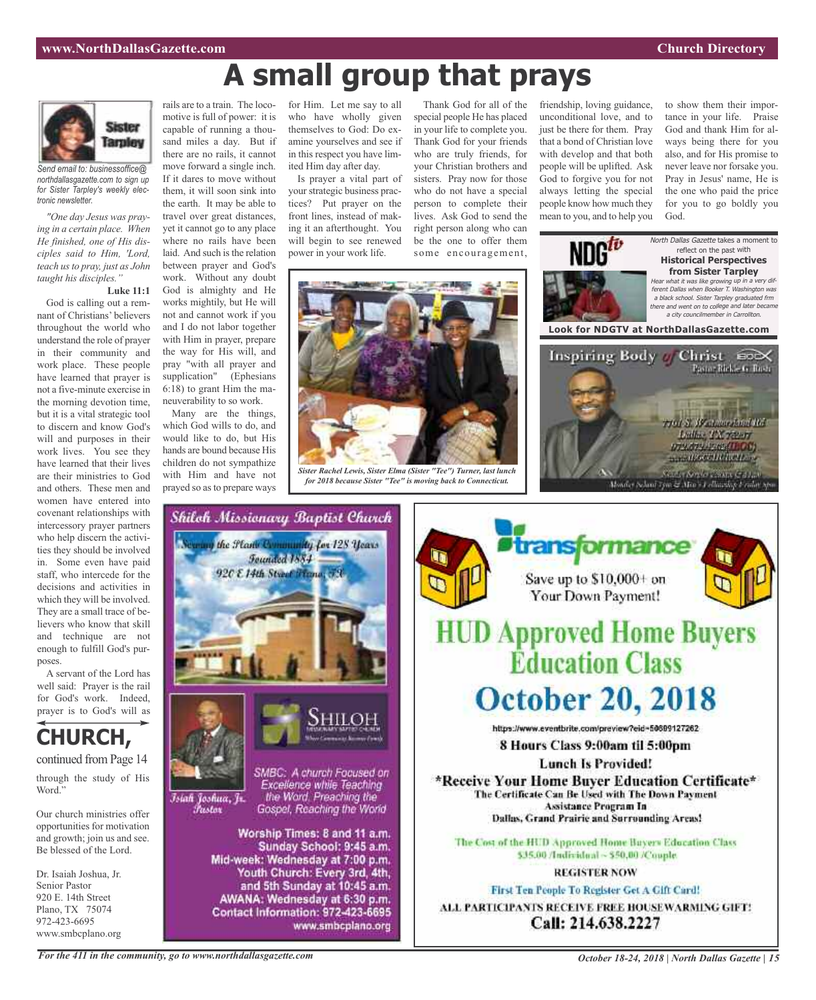## **A small group that prays**



*Send email to: businessoffice@ northdallasgazette.com to sign up for Sister Tarpley's weekly electronic newsletter.*

*"One day Jesus was praying in a certain place. When He finished, one of His disciples said to Him, 'Lord, teach usto pray, just as John taught his disciples."*

**Luke 11:1**

God is calling out a remnant of Christians' believers throughout the world who understand the role of prayer in their community and work place. These people have learned that prayer is not a five-minute exercise in the morning devotion time, but it is a vital strategic tool to discern and know God's will and purposes in their work lives. You see they have learned that their lives are their ministries to God and others. These men and women have entered into covenant relationships with intercessory prayer partners who help discern the activities they should be involved in. Some even have paid staff, who intercede for the decisions and activities in which they will be involved. They are a small trace of believers who know that skill and technique are not enough to fulfill God's purposes.

A servant of the Lord has well said: Prayer is the rail for God's work. Indeed, prayer is to God's will as

## **CHURCH,** continued from Page 14

through the study of His Word."

Our church ministries offer opportunities for motivation and growth; join us and see. Be blessed of the Lord.

Dr. Isaiah Joshua, Jr. Senior Pastor 920 E. 14th Street Plano, TX 75074 972-423-6695 www.smbcplano.org

rails are to a train. The locomotive is full of power: it is capable of running a thousand miles a day. But if there are no rails, it cannot move forward a single inch. If it dares to move without them, it will soon sink into the earth. It may be able to travel over great distances, yet it cannot go to any place where no rails have been laid. And such is the relation between prayer and God's work. Without any doubt God is almighty and He works mightily, but He will not and cannot work if you and I do not labor together with Him in prayer, prepare the way for His will, and

pray "with all prayer and supplication" (Ephesians 6:18) to grant Him the maneuverability to so work.

Many are the things, which God wills to do, and would like to do, but His hands are bound because His children do not sympathize with Him and have not prayed so asto prepare ways for Him. Let me say to all who have wholly given themselves to God: Do examine yourselves and see if in this respect you have limited Him day after day.

Is prayer a vital part of your strategic business practices? Put prayer on the front lines, instead of making it an afterthought. You will begin to see renewed power in your work life.

Thank God for all of the special people He has placed in your life to complete you. Thank God for your friends who are truly friends, for your Christian brothers and sisters. Pray now for those who do not have a special person to complete their lives. Ask God to send the right person along who can be the one to offer them some encouragement,



*Sister Rachel Lewis, Sister Elma (Sister "Tee") Turner, last lunch for 2018 because Sister "Tee" is moving back to Connecticut.*



to show them their importance in your life. Praise God and thank Him for always being there for you also, and for His promise to never leave nor forsake you. Pray in Jesus' name, He is the one who paid the price for you to go boldly you God.







*For the 411 in the community, go to www.northdallasgazette.com*

*October 18-24, 2018 | North Dallas Gazette | 15*